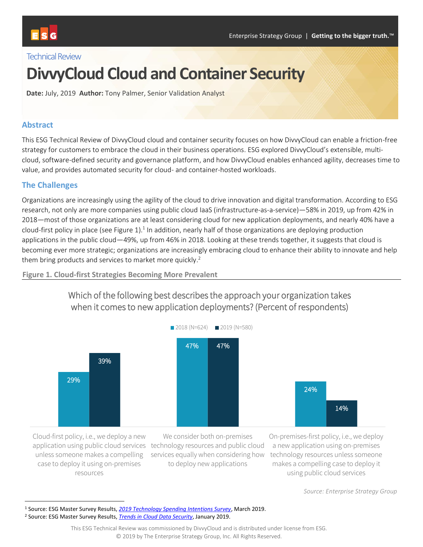## Technical Review

# **DivvyCloud Cloud and Container Security**

**Date:** July, 2019 **Author:** Tony Palmer, Senior Validation Analyst

#### **Abstract**

This ESG Technical Review of DivvyCloud cloud and container security focuses on how DivvyCloud can enable a friction-free strategy for customers to embrace the cloud in their business operations. ESG explored DivvyCloud's extensible, multicloud, software-defined security and governance platform, and how DivvyCloud enables enhanced agility, decreases time to value, and provides automated security for cloud- and container-hosted workloads.

#### **The Challenges**

Organizations are increasingly using the agility of the cloud to drive innovation and digital transformation. According to ESG research, not only are more companies using public cloud IaaS (infrastructure-as-a-service)—58% in 2019, up from 42% in 2018—most of those organizations are at least considering cloud for new application deployments, and nearly 40% have a cloud-first policy in place (see [Figure 1\)](#page-0-0).<sup>1</sup> In addition, nearly half of those organizations are deploying production applications in the public cloud—49%, up from 46% in 2018. Looking at these trends together, it suggests that cloud is becoming ever more strategic; organizations are increasingly embracing cloud to enhance their ability to innovate and help them bring products and services to market more quickly.<sup>2</sup>

Which of the following best describes the approach your organization takes



<span id="page-0-0"></span>**Figure 1. Cloud-first Strategies Becoming More Prevalent**

Cloud-first policy, i.e., we deploy a new application using public cloud services technology resources and public cloud unless someone makes a compelling case to deploy it using on-premises resources

l

We consider both on-premises to deploy new applications

services equally when considering how technology resources unless someone On-premises-first policy, i.e., we deploy a new application using on-premises makes a compelling case to deploy it using public cloud services

*Source: Enterprise Strategy Group*

<sup>1</sup> Source: ESG Master Survey Results, *[2019 Technology Spending Intentions Survey](https://research.esg-global.com/reportaction/2019technologyspendingintentionsmsr/Toc?)*, March 2019.

<sup>2</sup> Source: ESG Master Survey Results, *[Trends in Cloud Data Security](https://research.esg-global.com/reportaction/clouddatasecuritymsr/Toc)*, January 2019.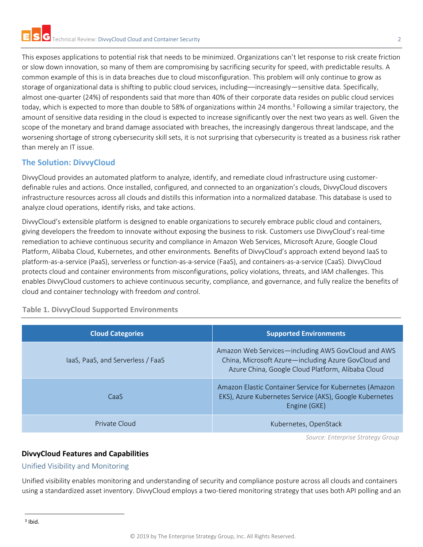This exposes applications to potential risk that needs to be minimized. Organizations can't let response to risk create friction or slow down innovation, so many of them are compromising by sacrificing security for speed, with predictable results. A common example of this is in data breaches due to cloud misconfiguration. This problem will only continue to grow as storage of organizational data is shifting to public cloud services, including––increasingly—sensitive data. Specifically, almost one-quarter (24%) of respondents said that more than 40% of their corporate data resides on public cloud services today, which is expected to more than double to 58% of organizations within 24 months.<sup>3</sup> Following a similar trajectory, the amount of sensitive data residing in the cloud is expected to increase significantly over the next two years as well. Given the scope of the monetary and brand damage associated with breaches, the increasingly dangerous threat landscape, and the worsening shortage of strong cybersecurity skill sets, it is not surprising that cybersecurity is treated as a business risk rather than merely an IT issue.

# **The Solution: DivvyCloud**

DivvyCloud provides an automated platform to analyze, identify, and remediate cloud infrastructure using customerdefinable rules and actions. Once installed, configured, and connected to an organization's clouds, DivvyCloud discovers infrastructure resources across all clouds and distills this information into a normalized database. This database is used to analyze cloud operations, identify risks, and take actions.

DivvyCloud's extensible platform is designed to enable organizations to securely embrace public cloud and containers, giving developers the freedom to innovate without exposing the business to risk. Customers use DivvyCloud's real-time remediation to achieve continuous security and compliance in Amazon Web Services, Microsoft Azure, Google Cloud Platform, Alibaba Cloud, Kubernetes, and other environments. Benefits of DivvyCloud's approach extend beyond IaaS to platform-as-a-service (PaaS), serverless or function-as-a-service (FaaS), and containers-as-a-service (CaaS). DivvyCloud protects cloud and container environments from misconfigurations, policy violations, threats, and IAM challenges. This enables DivvyCloud customers to achieve continuous security, compliance, and governance, and fully realize the benefits of cloud and container technology with freedom *and* control.

| <b>Cloud Categories</b>           | <b>Supported Environments</b>                                                                                                                                  |
|-----------------------------------|----------------------------------------------------------------------------------------------------------------------------------------------------------------|
| laaS, PaaS, and Serverless / FaaS | Amazon Web Services—including AWS GovCloud and AWS<br>China, Microsoft Azure-including Azure GovCloud and<br>Azure China, Google Cloud Platform, Alibaba Cloud |
| CaaS                              | Amazon Elastic Container Service for Kubernetes (Amazon<br>EKS), Azure Kubernetes Service (AKS), Google Kubernetes<br>Engine (GKE)                             |
| Private Cloud                     | Kubernetes, OpenStack                                                                                                                                          |

#### **Table 1. DivvyCloud Supported Environments**

*Source: Enterprise Strategy Group*

#### **DivvyCloud Features and Capabilities**

#### Unified Visibility and Monitoring

Unified visibility enables monitoring and understanding of security and compliance posture across all clouds and containers using a standardized asset inventory. DivvyCloud employs a two-tiered monitoring strategy that uses both API polling and an

l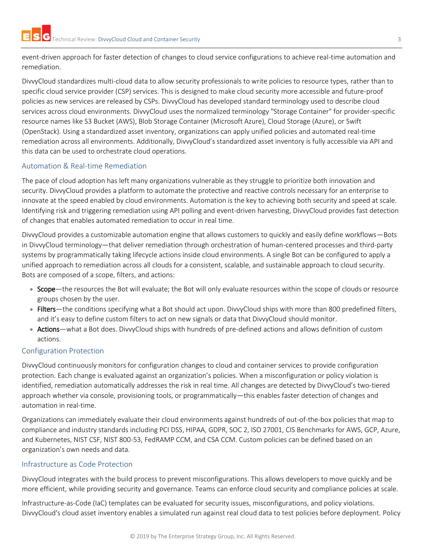event-driven approach for faster detection of changes to cloud service configurations to achieve real-time automation and remediation.

DivvyCloud standardizes multi-cloud data to allow security professionals to write policies to resource types, rather than to specific cloud service provider (CSP) services. This is designed to make cloud security more accessible and future-proof policies as new services are released by CSPs. DivvyCloud has developed standard terminology used to describe cloud services across cloud environments. DivvyCloud uses the normalized terminology "Storage Container" for provider-specific resource names like S3 Bucket (AWS), Blob Storage Container (Microsoft Azure), Cloud Storage (Azure), or Swift (OpenStack). Using a standardized asset inventory, organizations can apply unified policies and automated real-time remediation across all environments. Additionally, DivvyCloud's standardized asset inventory is fully accessible via API and this data can be used to orchestrate cloud operations.

#### Automation & Real-time Remediation

The pace of cloud adoption has left many organizations vulnerable as they struggle to prioritize both innovation and security. DivvyCloud provides a platform to automate the protective and reactive controls necessary for an enterprise to innovate at the speed enabled by cloud environments. Automation is the key to achieving both security and speed at scale. Identifying risk and triggering remediation using API polling and event-driven harvesting, DivvyCloud provides fast detection of changes that enables automated remediation to occur in real time.

DivvyCloud provides a customizable automation engine that allows customers to quickly and easily define workflows—Bots in DivvyCloud terminology—that deliver remediation through orchestration of human-centered processes and third-party systems by programmatically taking lifecycle actions inside cloud environments. A single Bot can be configured to apply a unified approach to remediation across all clouds for a consistent, scalable, and sustainable approach to cloud security. Bots are composed of a scope, filters, and actions:

- Scope—the resources the Bot will evaluate; the Bot will only evaluate resources within the scope of clouds or resource groups chosen by the user.
- Filters—the conditions specifying what a Bot should act upon. DivvyCloud ships with more than 800 predefined filters, and it's easy to define custom filters to act on new signals or data that DivvyCloud should monitor.
- Actions—what a Bot does. DivvyCloud ships with hundreds of pre-defined actions and allows definition of custom actions.

## Configuration Protection

DivvyCloud continuously monitors for configuration changes to cloud and container services to provide configuration protection. Each change is evaluated against an organization's policies. When a misconfiguration or policy violation is identified, remediation automatically addresses the risk in real time. All changes are detected by DivvyCloud's two-tiered approach whether via console, provisioning tools, or programmatically—this enables faster detection of changes and automation in real-time.

Organizations can immediately evaluate their cloud environments against hundreds of out-of-the-box policies that map to compliance and industry standards including PCI DSS, HIPAA, GDPR, SOC 2, ISO 27001, CIS Benchmarks for AWS, GCP, Azure, and Kubernetes, NIST CSF, NIST 800-53, FedRAMP CCM, and CSA CCM. Custom policies can be defined based on an organization's own needs and data.

#### Infrastructure as Code Protection

DivvyCloud integrates with the build process to prevent misconfigurations. This allows developers to move quickly and be more efficient, while providing security and governance. Teams can enforce cloud security and compliance policies at scale.

Infrastructure-as-Code (IaC) templates can be evaluated for security issues, misconfigurations, and policy violations. DivvyCloud's cloud asset inventory enables a simulated run against real cloud data to test policies before deployment. Policy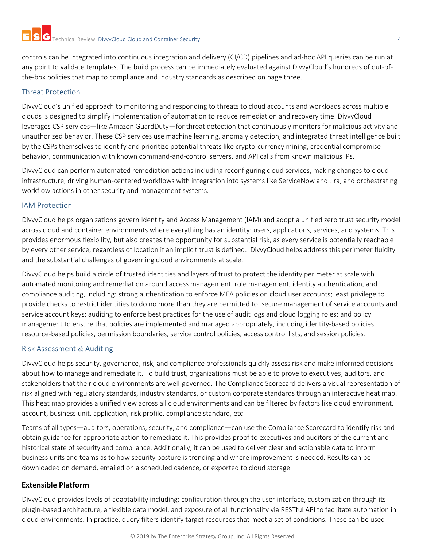controls can be integrated into continuous integration and delivery (CI/CD) pipelines and ad-hoc API queries can be run at any point to validate templates. The build process can be immediately evaluated against DivvyCloud's hundreds of out-ofthe-box policies that map to compliance and industry standards as described on page three.

#### Threat Protection

DivvyCloud's unified approach to monitoring and responding to threats to cloud accounts and workloads across multiple clouds is designed to simplify implementation of automation to reduce remediation and recovery time. DivvyCloud leverages CSP services—like Amazon GuardDuty—for threat detection that continuously monitors for malicious activity and unauthorized behavior. These CSP services use machine learning, anomaly detection, and integrated threat intelligence built by the CSPs themselves to identify and prioritize potential threats like crypto-currency mining, credential compromise behavior, communication with known command-and-control servers, and API calls from known malicious IPs.

DivvyCloud can perform automated remediation actions including reconfiguring cloud services, making changes to cloud infrastructure, driving human-centered workflows with integration into systems like ServiceNow and Jira, and orchestrating workflow actions in other security and management systems.

#### IAM Protection

DivvyCloud helps organizations govern Identity and Access Management (IAM) and adopt a unified zero trust security model across cloud and container environments where everything has an identity: users, applications, services, and systems. This provides enormous flexibility, but also creates the opportunity for substantial risk, as every service is potentially reachable by every other service, regardless of location if an implicit trust is defined. DivvyCloud helps address this perimeter fluidity and the substantial challenges of governing cloud environments at scale.

DivvyCloud helps build a circle of trusted identities and layers of trust to protect the identity perimeter at scale with automated monitoring and remediation around access management, role management, identity authentication, and compliance auditing, including: strong authentication to enforce MFA policies on cloud user accounts; least privilege to provide checks to restrict identities to do no more than they are permitted to; secure management of service accounts and service account keys; auditing to enforce best practices for the use of audit logs and cloud logging roles; and policy management to ensure that policies are implemented and managed appropriately, including identity-based policies, resource-based policies, permission boundaries, service control policies, access control lists, and session policies.

#### Risk Assessment & Auditing

DivvyCloud helps security, governance, risk, and compliance professionals quickly assess risk and make informed decisions about how to manage and remediate it. To build trust, organizations must be able to prove to executives, auditors, and stakeholders that their cloud environments are well-governed. The Compliance Scorecard delivers a visual representation of risk aligned with regulatory standards, industry standards, or custom corporate standards through an interactive heat map. This heat map provides a unified view across all cloud environments and can be filtered by factors like cloud environment, account, business unit, application, risk profile, compliance standard, etc.

Teams of all types—auditors, operations, security, and compliance—can use the Compliance Scorecard to identify risk and obtain guidance for appropriate action to remediate it. This provides proof to executives and auditors of the current and historical state of security and compliance. Additionally, it can be used to deliver clear and actionable data to inform business units and teams as to how security posture is trending and where improvement is needed. Results can be downloaded on demand, emailed on a scheduled cadence, or exported to cloud storage.

#### **Extensible Platform**

DivvyCloud provides levels of adaptability including: configuration through the user interface, customization through its plugin-based architecture, a flexible data model, and exposure of all functionality via RESTful API to facilitate automation in cloud environments. In practice, query filters identify target resources that meet a set of conditions. These can be used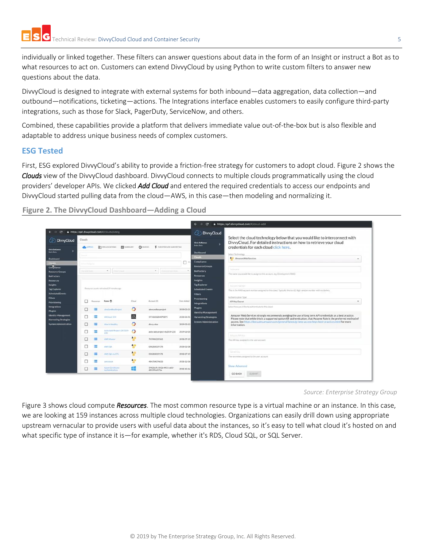individually or linked together. These filters can answer questions about data in the form of an Insight or instruct a Bot as to what resources to act on. Customers can extend DivvyCloud by using Python to write custom filters to answer new questions about the data.

DivvyCloud is designed to integrate with external systems for both inbound—data aggregation, data collection—and outbound—notifications, ticketing—actions. The Integrations interface enables customers to easily configure third-party integrations, such as those for Slack, PagerDuty, ServiceNow, and others.

Combined, these capabilities provide a platform that delivers immediate value out-of-the-box but is also flexible and adaptable to address unique business needs of complex customers.

#### **ESG Tested**

First, ESG explored DivvyCloud's ability to provide a friction-free strategy for customers to adopt cloud. [Figure 2](#page-4-0) shows the *Clouds* view of the DivvyCloud dashboard. DivvyCloud connects to multiple clouds programmatically using the cloud providers' developer APIs. We clicked *Add Cloud* and entered the required credentials to access our endpoints and DivvyCloud started pulling data from the cloud—AWS, in this case—then modeling and normalizing it.

<span id="page-4-0"></span>**Figure 2. The DivvyCloud Dashboard—Adding a Cloud** 

|                                                                                                                              |                                                                                                                       |                                                                                                                                      |                                        |                                                                                                                                                                                                                                                                                                                                                                                                                                                                                                                                  |            | $\mathbf{C}$<br>https://qa1.divvycloud.com/#/cloud-add<br>$\rightarrow$<br>$\leftarrow$                                                                                                                                                        |
|------------------------------------------------------------------------------------------------------------------------------|-----------------------------------------------------------------------------------------------------------------------|--------------------------------------------------------------------------------------------------------------------------------------|----------------------------------------|----------------------------------------------------------------------------------------------------------------------------------------------------------------------------------------------------------------------------------------------------------------------------------------------------------------------------------------------------------------------------------------------------------------------------------------------------------------------------------------------------------------------------------|------------|------------------------------------------------------------------------------------------------------------------------------------------------------------------------------------------------------------------------------------------------|
| $\mathbf{C}$<br>$\rightarrow$<br><b>DivvyCloud</b>                                                                           | https://qa1.divvycloud.com/#/clouds/listing<br>Clouds                                                                 |                                                                                                                                      |                                        |                                                                                                                                                                                                                                                                                                                                                                                                                                                                                                                                  |            | <b><i>C</i></b> DivvyCloud<br>Select the cloud technology below that you would like to interconnect with                                                                                                                                       |
|                                                                                                                              | <b>ER</b> susewary<br>$Q$ ivocas<br><b>THE ORGANIZATIONS</b><br><b>E</b> EVENT DEIVEN HARVESTING<br><b>CALIFORNIA</b> |                                                                                                                                      |                                        |                                                                                                                                                                                                                                                                                                                                                                                                                                                                                                                                  |            | DivvyCloud. For detailed instructions on how to retrieve your cloud<br><b>Chris DeRamon</b><br><b>Bob's Dots</b><br>credentials for each cloud click here.                                                                                     |
| <b>Chris DeRamos</b><br><b>Bub's Bons</b><br>Dashboard                                                                       |                                                                                                                       |                                                                                                                                      |                                        |                                                                                                                                                                                                                                                                                                                                                                                                                                                                                                                                  |            | <b>Dashboard</b><br>Select Technology<br><b>Chuck</b><br>Ani Amazon Web Services<br>Compliance                                                                                                                                                 |
| Compliance<br><b>Resource Groups</b><br>BotFactory<br><b>Resources</b>                                                       | Senior Bradewick<br><b>Norwege Council</b>                                                                            | <b>I First Daid</b>                                                                                                                  |                                        | $-1$<br>Famil Driver Rein                                                                                                                                                                                                                                                                                                                                                                                                                                                                                                        |            | <b>Resource Groups</b><br>Nobusner<br><b>BotFactory</b><br>The name you would like to assign to this account, ing: Development AWSI<br><b>Resources</b><br>Insights                                                                            |
| <b>Insights</b><br><b>Tag Explorer</b><br><b>Scheduled Events</b><br>Filters                                                 |                                                                                                                       | Resource counts refreshed 19 minutes ago.                                                                                            |                                        |                                                                                                                                                                                                                                                                                                                                                                                                                                                                                                                                  |            | <b>Tag Explorer</b><br>Airmort Nazion<br><b>Scheduled Events</b><br>This is the AWS account number assigned to this cloud. Typically this is a 12 digit random number with no dashes.<br><b>Filters</b><br>Authentication Type<br>Provisioning |
| Provisioning                                                                                                                 | Resources                                                                                                             | Name 1                                                                                                                               | Coud                                   | Accessed ID                                                                                                                                                                                                                                                                                                                                                                                                                                                                                                                      | Date Added | API Key/Secret<br><b>Integrations</b>                                                                                                                                                                                                          |
| Integrations<br><b>Plugins</b><br><b>Identity Management</b><br><b>Harvesting Strategies</b><br><b>System Administration</b> | Ξ                                                                                                                     | $\circ$<br>almdandisteProject<br>alexsandboxproject<br>$\Omega$<br>ANCloud 18.4<br>5976820284870875<br>Alce to Healthy<br>divvy alon | 2019-03-21<br>2018-06-01<br>2019-03-13 | Select how you'd like to authenticate to this cloud.<br><b>Plugins</b><br><b>Identity Management</b><br>Amazon Web Services strongly recommends avoiding the use of long term API credentials as a best practice.<br><b>Harvesting Strategies</b><br>Please note that while this is a supported option for authentication, that Assume Role is the preferred method of<br>access. See https://docs.aws.amazon.com/general/latest/gr/aws-access-keys-best-practices.html for more<br><b>System Administration</b><br>information. |            |                                                                                                                                                                                                                                                |
|                                                                                                                              | ≡<br>п                                                                                                                | Auto-Add-Project-DV2019-<br>235                                                                                                      | $\circ$                                | auto-add-project-dv2019-235                                                                                                                                                                                                                                                                                                                                                                                                                                                                                                      | 2019-03-05 | Articles M Yes                                                                                                                                                                                                                                 |
|                                                                                                                              | ≡                                                                                                                     | <b>AWS Mader</b>                                                                                                                     | an                                     | 745948225562                                                                                                                                                                                                                                                                                                                                                                                                                                                                                                                     | 2018-07-19 | The API key assigned to the user account                                                                                                                                                                                                       |
|                                                                                                                              |                                                                                                                       | AWS OA                                                                                                                               | a.c.<br>$\mathbf{u}$                   | 050283019178                                                                                                                                                                                                                                                                                                                                                                                                                                                                                                                     | 2018-02-08 |                                                                                                                                                                                                                                                |
|                                                                                                                              |                                                                                                                       | AWS OA VA STS                                                                                                                        | a <sub>ii</sub>                        | 050283019178                                                                                                                                                                                                                                                                                                                                                                                                                                                                                                                     | 2018-07-19 | StateLine                                                                                                                                                                                                                                      |
|                                                                                                                              | ═                                                                                                                     | <b>BAS-0SCM</b>                                                                                                                      | a n                                    | 484704074633                                                                                                                                                                                                                                                                                                                                                                                                                                                                                                                     | 2018-12-06 | The secret key assigned to the user account                                                                                                                                                                                                    |
|                                                                                                                              | ≡<br>□                                                                                                                | Azure Certificate<br>Authentication                                                                                                  | m                                      | 59026a9c-042b-4431-a61f-<br>d03295e5f76e                                                                                                                                                                                                                                                                                                                                                                                                                                                                                         | 2018-10-14 | Show Advanced                                                                                                                                                                                                                                  |

*Source: Enterprise Strategy Group*

[Figure 3](#page-5-0) shows cloud compute *Resources*. The most common resource type is a virtual machine or an instance. In this case, we are looking at 159 instances across multiple cloud technologies. Organizations can easily drill down using appropriate upstream vernacular to provide users with useful data about the instances, so it's easy to tell what cloud it's hosted on and what specific type of instance it is—for example, whether it's RDS, Cloud SQL, or SQL Server.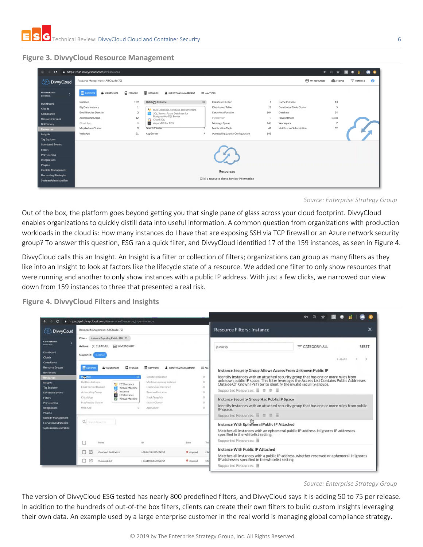#### <span id="page-5-0"></span>**Figure 3. DivvyCloud Resource Management**

| $\mathbf{C}$<br>https://qa1.divvycloud.com/#/resources<br>$\leftarrow$<br>$\rightarrow$                                               |                                            |          | $\sim$                    | ◎ ☆            |                |           |
|---------------------------------------------------------------------------------------------------------------------------------------|--------------------------------------------|----------|---------------------------|----------------|----------------|-----------|
| Resource Management » All Clouds (72)<br>DivvyCloud<br>ഗ                                                                              |                                            |          | <b>B</b> MY RESOURCES     | SCOPES         | $=$ FILTERS: 0 | $\bullet$ |
| <b>E</b> COMPUTE<br>STORAGE<br><b>Chris DeRamus</b><br><b>E</b> NETWORK<br>CONTAINERS<br><b>L</b> IDENTITY & MANAGEMENT<br>Bob's Bots | $\equiv$ ALL TYPES                         |          |                           |                |                |           |
| Databert Instance<br>159<br>Instance<br>Dashboard                                                                                     | 31<br>Database Cluster                     | 6        | Cache Instance            | 13             |                |           |
| Big Data Instance<br><b>Clouds</b><br>RDS Database, Neptune, DocumentDB                                                               | <b>Distributed Table</b>                   | 28       | Distributed Table Cluster | ĸ,             |                |           |
| Email Service Domain<br>$\overline{2}$<br>SQL Server, Azure Database for<br>Compliance                                                | Serverless Function                        | 104      | Database                  | 34             |                |           |
| Postgres/MySQL Server<br>12<br>Autoscaling Group<br><b>Resource Groups</b><br>Cloud SQL<br>$\circ$                                    | Hypervisor                                 | $\Omega$ | Private Image             | 1.338          |                |           |
| AsparaDB for RDS<br>Cloud App<br>$\circ$<br><b>BotFactory</b>                                                                         | Message Queue                              | 446      | Workspace                 | $\overline{7}$ |                |           |
| MapReduce Cluster<br>Search Cluster<br>9<br><b>Resources</b>                                                                          | Notification Topic                         | 49       | Notification Subscription | 52             |                |           |
| Web App<br>51<br>App Server<br>Insights                                                                                               | Autoscaling Launch Configuration<br>9      | 148      |                           |                |                |           |
| <b>Tag Explorer</b>                                                                                                                   |                                            |          |                           |                |                |           |
| <b>Scheduled Events</b>                                                                                                               |                                            |          |                           |                |                |           |
| <b>Filters</b>                                                                                                                        |                                            |          |                           |                |                |           |
| Provisioning                                                                                                                          |                                            |          |                           |                |                |           |
| <b>Integrations</b>                                                                                                                   |                                            |          |                           |                |                |           |
| <b>Plugins</b>                                                                                                                        |                                            |          |                           |                |                |           |
| <b>Identity Management</b>                                                                                                            | <b>Resources</b>                           |          |                           |                |                |           |
| <b>Harvesting Strategies</b>                                                                                                          | Click a resource above to view information |          |                           |                |                |           |
| <b>System Administration</b>                                                                                                          |                                            |          |                           |                |                |           |

*Source: Enterprise Strategy Group*

Out of the box, the platform goes beyond getting you that single pane of glass across your cloud footprint. DivvyCloud enables organizations to quickly distill data into useful information. A common question from organizations with production workloads in the cloud is: How many instances do I have that are exposing SSH via TCP firewall or an Azure network security group? To answer this question, ESG ran a quick filter, and DivvyCloud identified 17 of the 159 instances, as seen i[n Figure 4.](#page-5-1)

DivvyCloud calls this an Insight. An Insight is a filter or collection of filters; organizations can group as many filters as they like into an Insight to look at factors like the lifecycle state of a resource. We added one filter to only show resources that were running and another to only show instances with a public IP address. With just a few clicks, we narrowed our view down from 159 instances to three that presented a real risk.

<span id="page-5-1"></span>**Figure 4. DivvyCloud Filters and Insights**

| C                                                                                                                                                                                                                                                | https://ga1.divvycloud.com/#/resources?resource_type=instance                                                                                                                                                                                                                                                                                                                                    |                                                                         |                  |              |                                                                                                                                                                                                                                                                                                                                                                                                                               |  |  |  |  |
|--------------------------------------------------------------------------------------------------------------------------------------------------------------------------------------------------------------------------------------------------|--------------------------------------------------------------------------------------------------------------------------------------------------------------------------------------------------------------------------------------------------------------------------------------------------------------------------------------------------------------------------------------------------|-------------------------------------------------------------------------|------------------|--------------|-------------------------------------------------------------------------------------------------------------------------------------------------------------------------------------------------------------------------------------------------------------------------------------------------------------------------------------------------------------------------------------------------------------------------------|--|--|--|--|
| <b>DivvyCloud</b>                                                                                                                                                                                                                                | Resource Management » All Clouds (72)                                                                                                                                                                                                                                                                                                                                                            |                                                                         |                  |              | <b>Resource Filters: Instance</b><br>×                                                                                                                                                                                                                                                                                                                                                                                        |  |  |  |  |
| <b>Chris DeRamus</b><br><b>Bob's Bots</b><br>Dashboard<br><b>Clouds</b>                                                                                                                                                                          | Filters: Instance Exposing Public SSH X<br>Actions: X CLEAR ALL B SAVE INSIGHT<br>Supported:<br>Instance                                                                                                                                                                                                                                                                                         |                                                                         |                  |              | = CATEGORY: ALL<br><b>RESET</b><br>public ip<br>$\epsilon$<br>$1 - 8$ of $8$                                                                                                                                                                                                                                                                                                                                                  |  |  |  |  |
| <b>Compliance</b><br><b>Resource Groups</b><br><b>BotFactory</b>                                                                                                                                                                                 | E communi<br>CONTAINERS                                                                                                                                                                                                                                                                                                                                                                          | <b>Q</b> STORAGE<br><b>2</b> IDENTITY & MANAGEMENT<br><b>RE NETWORK</b> |                  | $\equiv$ ALL | Instance Security Group Allows Access From Unknown Public IP                                                                                                                                                                                                                                                                                                                                                                  |  |  |  |  |
| Resources<br><b>Insights</b><br><b>Tag Explorer</b><br><b>Scheduled Events</b><br><b>Filters</b><br>Provisioning<br>Integrations<br><b>Plugins</b><br><b>Identity Management</b><br><b>Harvesting Strategies</b><br><b>System Administration</b> | Ir gance.<br>Database Instance<br>Big Data Instance<br>Machine Learning Instance<br><b>Ap EC2 Instance</b><br>Email Service Domain<br>Elasticsearch Instance<br><b>Nictual Machine</b><br>C Instance<br>Reserved Instance<br>Autoscaling Group<br>ECS Instance<br>Stack Template<br>Cloud App.<br><b>F3</b> Virtual Machine<br>MapReduce Cluster<br>Search Cluster<br>Web App<br>O<br>App Server |                                                                         |                  |              | Identify instances with an attached security group that has one or more rules from<br>unknown public IP space. This filter leverages the Access List Contains Public Addresses<br>Outside Of Known IPs filter to identify the invali<br>Supported Resources: 圖 章 章 圖<br>Instance Security Group Has Public IP Space<br>Identify instances with an attached security group that has one or more rules from public<br>IP space. |  |  |  |  |
|                                                                                                                                                                                                                                                  | Q Search Resources                                                                                                                                                                                                                                                                                                                                                                               |                                                                         |                  |              | Supported Resources: 圖 畫 圖 圖<br>Instance With Ephemeral Public IP Attached<br>Matches all instances with an ephemeral public IP address. It ignores IP addresses<br>specified in the whitelist setting.                                                                                                                                                                                                                       |  |  |  |  |
|                                                                                                                                                                                                                                                  | Name                                                                                                                                                                                                                                                                                                                                                                                             | ID-                                                                     | State            | Typ          | Supported Resources:                                                                                                                                                                                                                                                                                                                                                                                                          |  |  |  |  |
|                                                                                                                                                                                                                                                  | Goycloud East Exists!                                                                                                                                                                                                                                                                                                                                                                            | i-0658b74b705d242e7                                                     | stopped          | $+3x$        | <b>Instance With Public IP Attached</b>                                                                                                                                                                                                                                                                                                                                                                                       |  |  |  |  |
|                                                                                                                                                                                                                                                  | ø<br>Running24x7<br>M.                                                                                                                                                                                                                                                                                                                                                                           | i-06a1069df670bb7b7                                                     | <b>O</b> stopped | 12r          | Matches all instances with a public IP address, whether reserved or ephemeral. It ignores<br>IP addresses specified in the whitelist setting.<br>Supported Resources:                                                                                                                                                                                                                                                         |  |  |  |  |

*Source: Enterprise Strategy Group*

The version of DivvyCloud ESG tested has nearly 800 predefined filters, and DivvyCloud says it is adding 50 to 75 per release. In addition to the hundreds of out-of-the box filters, clients can create their own filters to build custom Insights leveraging their own data. An example used by a large enterprise customer in the real world is managing global compliance strategy.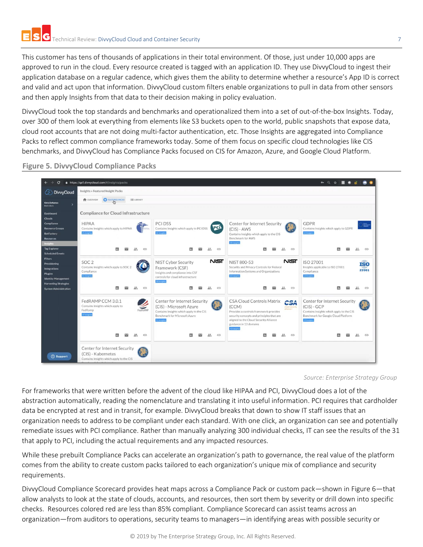This customer has tens of thousands of applications in their total environment. Of those, just under 10,000 apps are approved to run in the cloud. Every resource created is tagged with an application ID. They use DivvyCloud to ingest their application database on a regular cadence, which gives them the ability to determine whether a resource's App ID is correct and valid and act upon that information. DivvyCloud custom filters enable organizations to pull in data from other sensors and then apply Insights from that data to their decision making in policy evaluation.

DivvyCloud took the top standards and benchmarks and operationalized them into a set of out-of-the-box Insights. Today, over 300 of them look at everything from elements like S3 buckets open to the world, public snapshots that expose data, cloud root accounts that are not doing multi-factor authentication, etc. Those Insights are aggregated into Compliance Packs to reflect common compliance frameworks today. Some of them focus on specific cloud technologies like CIS benchmarks, and DivvyCloud has Compliance Packs focused on CIS for Amazon, Azure, and Google Cloud Platform.

#### **Figure 5. DivvyCloud Compliance Packs**



*Source: Enterprise Strategy Group*

For frameworks that were written before the advent of the cloud like HIPAA and PCI, DivvyCloud does a lot of the abstraction automatically, reading the nomenclature and translating it into useful information. PCI requires that cardholder data be encrypted at rest and in transit, for example. DivvyCloud breaks that down to show IT staff issues that an organization needs to address to be compliant under each standard. With one click, an organization can see and potentially remediate issues with PCI compliance. Rather than manually analyzing 300 individual checks, IT can see the results of the 31 that apply to PCI, including the actual requirements and any impacted resources.

While these prebuilt Compliance Packs can accelerate an organization's path to governance, the real value of the platform comes from the ability to create custom packs tailored to each organization's unique mix of compliance and security requirements.

DivvyCloud Compliance Scorecard provides heat maps across a Compliance Pack or custom pack—shown i[n Figure 6](#page-7-0)—that allow analysts to look at the state of clouds, accounts, and resources, then sort them by severity or drill down into specific checks. Resources colored red are less than 85% compliant. Compliance Scorecard can assist teams across an organization—from auditors to operations, security teams to managers—in identifying areas with possible security or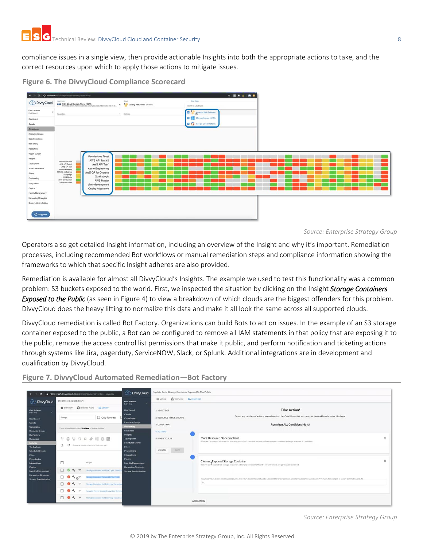compliance issues in a single view, then provide actionable Insights into both the appropriate actions to take, and the correct resources upon which to apply those actions to mitigate issues.



#### <span id="page-7-0"></span>**Figure 6. The DivvyCloud Compliance Scorecard**

*Source: Enterprise Strategy Group*

Operators also get detailed Insight information, including an overview of the Insight and why it's important. Remediation processes, including recommended Bot workflows or manual remediation steps and compliance information showing the frameworks to which that specific Insight adheres are also provided.

Remediation is available for almost all DivvyCloud's Insights. The example we used to test this functionality was a common problem: S3 buckets exposed to the world. First, we inspected the situation by clicking on the Insight *Storage Containers Exposed to the Public* (as seen in [Figure 4\)](#page-5-1) to view a breakdown of which clouds are the biggest offenders for this problem. DivvyCloud does the heavy lifting to normalize this data and make it all look the same across all supported clouds.

DivvyCloud remediation is called Bot Factory. Organizations can build Bots to act on issues. In the example of an S3 storage container exposed to the public, a Bot can be configured to remove all IAM statements in that policy that are exposing it to the public, remove the access control list permissions that make it public, and perform notification and ticketing actions through systems like Jira, pagerduty, ServiceNOW, Slack, or Splunk. Additional integrations are in development and qualification by DivvyCloud.



**Figure 7. DivvyCloud Automated Remediation—Bot Factory**

*Source: Enterprise Strategy Group*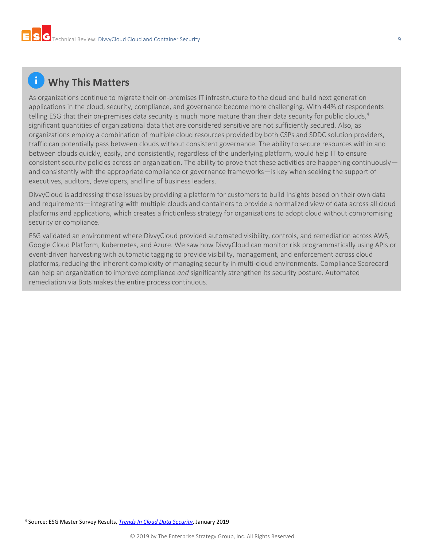# **Why This Matters**

As organizations continue to migrate their on-premises IT infrastructure to the cloud and build next generation applications in the cloud, security, compliance, and governance become more challenging. With 44% of respondents telling ESG that their on-premises data security is much more mature than their data security for public clouds,<sup>4</sup> significant quantities of organizational data that are considered sensitive are not sufficiently secured. Also, as organizations employ a combination of multiple cloud resources provided by both CSPs and SDDC solution providers, traffic can potentially pass between clouds without consistent governance. The ability to secure resources within and between clouds quickly, easily, and consistently, regardless of the underlying platform, would help IT to ensure consistent security policies across an organization. The ability to prove that these activities are happening continuously and consistently with the appropriate compliance or governance frameworks—is key when seeking the support of executives, auditors, developers, and line of business leaders.

DivvyCloud is addressing these issues by providing a platform for customers to build Insights based on their own data and requirements—integrating with multiple clouds and containers to provide a normalized view of data across all cloud platforms and applications, which creates a frictionless strategy for organizations to adopt cloud without compromising security or compliance.

ESG validated an environment where DivvyCloud provided automated visibility, controls, and remediation across AWS, Google Cloud Platform, Kubernetes, and Azure. We saw how DivvyCloud can monitor risk programmatically using APIs or event-driven harvesting with automatic tagging to provide visibility, management, and enforcement across cloud platforms, reducing the inherent complexity of managing security in multi-cloud environments. Compliance Scorecard can help an organization to improve compliance *and* significantly strengthen its security posture. Automated remediation via Bots makes the entire process continuous.

l <sup>4</sup> Source: ESG Master Survey Results, *[Trends In Cloud Data Security](https://research.esg-global.com/reportaction/clouddatasecuritymsr/Toc)*, January 2019